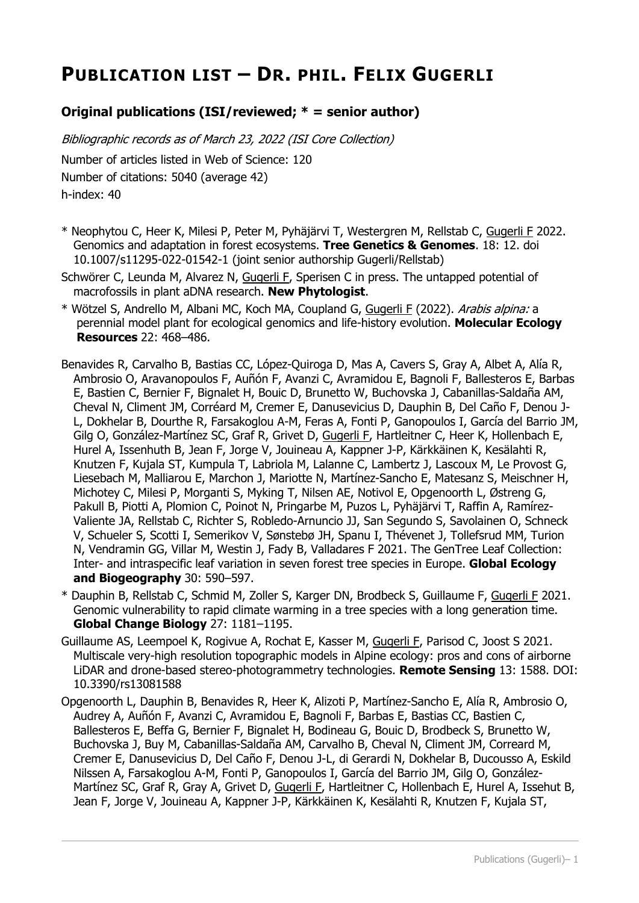# **PUBLICATION LIST – DR. PHIL. FELIX GUGERLI**

## **Original publications (ISI/reviewed; \* = senior author)**

Bibliographic records as of March 23, 2022 (ISI Core Collection) Number of articles listed in Web of Science: 120 Number of citations: 5040 (average 42) h-index: 40

- \* Neophytou C, Heer K, Milesi P, Peter M, Pyhäjärvi T, Westergren M, Rellstab C, Gugerli F 2022. Genomics and adaptation in forest ecosystems. **Tree Genetics & Genomes**. 18: 12. doi 10.1007/s11295-022-01542-1 (joint senior authorship Gugerli/Rellstab)
- Schwörer C, Leunda M, Alvarez N, Gugerli F, Sperisen C in press. The untapped potential of macrofossils in plant aDNA research. **New Phytologist**.
- \* Wötzel S, Andrello M, Albani MC, Koch MA, Coupland G, Gugerli F (2022). Arabis alpina: a perennial model plant for ecological genomics and life-history evolution. **Molecular Ecology Resources** 22: 468–486.
- Benavides R, Carvalho B, Bastias CC, López-Quiroga D, Mas A, Cavers S, Gray A, Albet A, Alía R, Ambrosio O, Aravanopoulos F, Auñón F, Avanzi C, Avramidou E, Bagnoli F, Ballesteros E, Barbas E, Bastien C, Bernier F, Bignalet H, Bouic D, Brunetto W, Buchovska J, Cabanillas-Saldaña AM, Cheval N, Climent JM, Corréard M, Cremer E, Danusevicius D, Dauphin B, Del Caño F, Denou J-L, Dokhelar B, Dourthe R, Farsakoglou A-M, Feras A, Fonti P, Ganopoulos I, García del Barrio JM, Gilg O, González-Martínez SC, Graf R, Grivet D, Gugerli F, Hartleitner C, Heer K, Hollenbach E, Hurel A, Issenhuth B, Jean F, Jorge V, Jouineau A, Kappner J-P, Kärkkäinen K, Kesälahti R, Knutzen F, Kujala ST, Kumpula T, Labriola M, Lalanne C, Lambertz J, Lascoux M, Le Provost G, Liesebach M, Malliarou E, Marchon J, Mariotte N, Martínez-Sancho E, Matesanz S, Meischner H, Michotey C, Milesi P, Morganti S, Myking T, Nilsen AE, Notivol E, Opgenoorth L, Østreng G, Pakull B, Piotti A, Plomion C, Poinot N, Pringarbe M, Puzos L, Pyhäjärvi T, Raffin A, Ramírez-Valiente JA, Rellstab C, Richter S, Robledo-Arnuncio JJ, San Segundo S, Savolainen O, Schneck V, Schueler S, Scotti I, Semerikov V, Sønstebø JH, Spanu I, Thévenet J, Tollefsrud MM, Turion N, Vendramin GG, Villar M, Westin J, Fady B, Valladares F 2021. The GenTree Leaf Collection: Inter- and intraspecific leaf variation in seven forest tree species in Europe. **Global Ecology and Biogeography** 30: 590–597.
- \* Dauphin B, Rellstab C, Schmid M, Zoller S, Karger DN, Brodbeck S, Guillaume F, Gugerli F 2021. Genomic vulnerability to rapid climate warming in a tree species with a long generation time. **Global Change Biology** 27: 1181–1195.
- Guillaume AS, Leempoel K, Rogivue A, Rochat E, Kasser M, Gugerli F, Parisod C, Joost S 2021. Multiscale very-high resolution topographic models in Alpine ecology: pros and cons of airborne LiDAR and drone-based stereo-photogrammetry technologies. **Remote Sensing** 13: 1588. DOI: 10.3390/rs13081588
- Opgenoorth L, Dauphin B, Benavides R, Heer K, Alizoti P, Martínez-Sancho E, Alía R, Ambrosio O, Audrey A, Auñón F, Avanzi C, Avramidou E, Bagnoli F, Barbas E, Bastias CC, Bastien C, Ballesteros E, Beffa G, Bernier F, Bignalet H, Bodineau G, Bouic D, Brodbeck S, Brunetto W, Buchovska J, Buy M, Cabanillas-Saldaña AM, Carvalho B, Cheval N, Climent JM, Correard M, Cremer E, Danusevicius D, Del Caño F, Denou J-L, di Gerardi N, Dokhelar B, Ducousso A, Eskild Nilssen A, Farsakoglou A-M, Fonti P, Ganopoulos I, García del Barrio JM, Gilg O, González-Martínez SC, Graf R, Gray A, Grivet D, Gugerli F, Hartleitner C, Hollenbach E, Hurel A, Issehut B, Jean F, Jorge V, Jouineau A, Kappner J-P, Kärkkäinen K, Kesälahti R, Knutzen F, Kujala ST,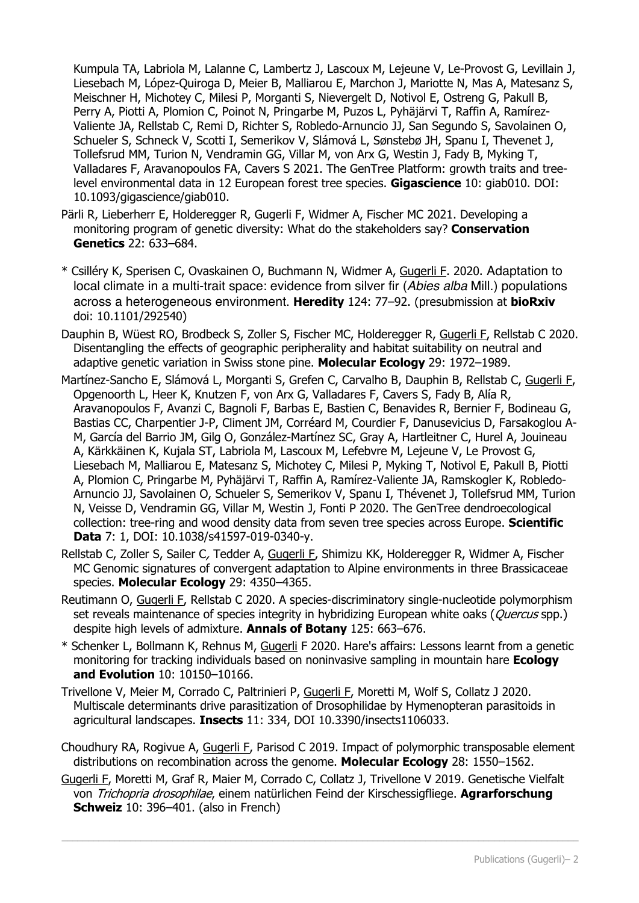Kumpula TA, Labriola M, Lalanne C, Lambertz J, Lascoux M, Lejeune V, Le-Provost G, Levillain J, Liesebach M, López-Quiroga D, Meier B, Malliarou E, Marchon J, Mariotte N, Mas A, Matesanz S, Meischner H, Michotey C, Milesi P, Morganti S, Nievergelt D, Notivol E, Ostreng G, Pakull B, Perry A, Piotti A, Plomion C, Poinot N, Pringarbe M, Puzos L, Pyhäjärvi T, Raffin A, Ramírez-Valiente JA, Rellstab C, Remi D, Richter S, Robledo-Arnuncio JJ, San Segundo S, Savolainen O, Schueler S, Schneck V, Scotti I, Semerikov V, Slámová L, Sønstebø JH, Spanu I, Thevenet J, Tollefsrud MM, Turion N, Vendramin GG, Villar M, von Arx G, Westin J, Fady B, Myking T, Valladares F, Aravanopoulos FA, Cavers S 2021. The GenTree Platform: growth traits and treelevel environmental data in 12 European forest tree species. **Gigascience** 10: giab010. DOI: 10.1093/gigascience/giab010.

- Pärli R, Lieberherr E, Holderegger R, Gugerli F, Widmer A, Fischer MC 2021. Developing a monitoring program of genetic diversity: What do the stakeholders say? **Conservation Genetics** 22: 633–684.
- \* Csilléry K, Sperisen C, Ovaskainen O, Buchmann N, Widmer A, Gugerli F. 2020. Adaptation to local climate in a multi-trait space: evidence from silver fir (*Abies alba* Mill.) populations across a heterogeneous environment. **Heredity** 124: 77–92. (presubmission at **bioRxiv** doi: 10.1101/292540)
- Dauphin B, Wüest RO, Brodbeck S, Zoller S, Fischer MC, Holderegger R, Gugerli F, Rellstab C 2020. Disentangling the effects of geographic peripherality and habitat suitability on neutral and adaptive genetic variation in Swiss stone pine. **Molecular Ecology** 29: 1972–1989.
- Martínez-Sancho E, Slámová L, Morganti S, Grefen C, Carvalho B, Dauphin B, Rellstab C, Gugerli F, Opgenoorth L, Heer K, Knutzen F, von Arx G, Valladares F, Cavers S, Fady B, Alía R, Aravanopoulos F, Avanzi C, Bagnoli F, Barbas E, Bastien C, Benavides R, Bernier F, Bodineau G, Bastias CC, Charpentier J-P, Climent JM, Corréard M, Courdier F, Danusevicius D, Farsakoglou A-M, García del Barrio JM, Gilg O, González-Martínez SC, Gray A, Hartleitner C, Hurel A, Jouineau A, Kärkkäinen K, Kujala ST, Labriola M, Lascoux M, Lefebvre M, Lejeune V, Le Provost G, Liesebach M, Malliarou E, Matesanz S, Michotey C, Milesi P, Myking T, Notivol E, Pakull B, Piotti A, Plomion C, Pringarbe M, Pyhäjärvi T, Raffin A, Ramírez-Valiente JA, Ramskogler K, Robledo-Arnuncio JJ, Savolainen O, Schueler S, Semerikov V, Spanu I, Thévenet J, Tollefsrud MM, Turion N, Veisse D, Vendramin GG, Villar M, Westin J, Fonti P 2020. The GenTree dendroecological collection: tree-ring and wood density data from seven tree species across Europe. **Scientific Data** 7: 1, DOI: 10.1038/s41597-019-0340-y.
- Rellstab C, Zoller S, Sailer C, Tedder A, Gugerli F, Shimizu KK, Holderegger R, Widmer A, Fischer MC Genomic signatures of convergent adaptation to Alpine environments in three Brassicaceae species. **Molecular Ecology** 29: 4350–4365.
- Reutimann O, Gugerli F, Rellstab C 2020. A species-discriminatory single-nucleotide polymorphism set reveals maintenance of species integrity in hybridizing European white oaks (*Quercus* spp.) despite high levels of admixture. **Annals of Botany** 125: 663–676.
- \* Schenker L, Bollmann K, Rehnus M, Gugerli F 2020. Hare's affairs: Lessons learnt from a genetic monitoring for tracking individuals based on noninvasive sampling in mountain hare **Ecology and Evolution** 10: 10150–10166.
- Trivellone V, Meier M, Corrado C, Paltrinieri P, Gugerli F, Moretti M, Wolf S, Collatz J 2020. Multiscale determinants drive parasitization of Drosophilidae by Hymenopteran parasitoids in agricultural landscapes. **Insects** 11: 334, DOI 10.3390/insects1106033.
- Choudhury RA, Rogivue A, Gugerli F, Parisod C 2019. Impact of polymorphic transposable element distributions on recombination across the genome. **Molecular Ecology** 28: 1550–1562.
- Gugerli F, Moretti M, Graf R, Maier M, Corrado C, Collatz J, Trivellone V 2019. Genetische Vielfalt von Trichopria drosophilae, einem natürlichen Feind der Kirschessigfliege. **Agrarforschung Schweiz** 10: 396–401. (also in French)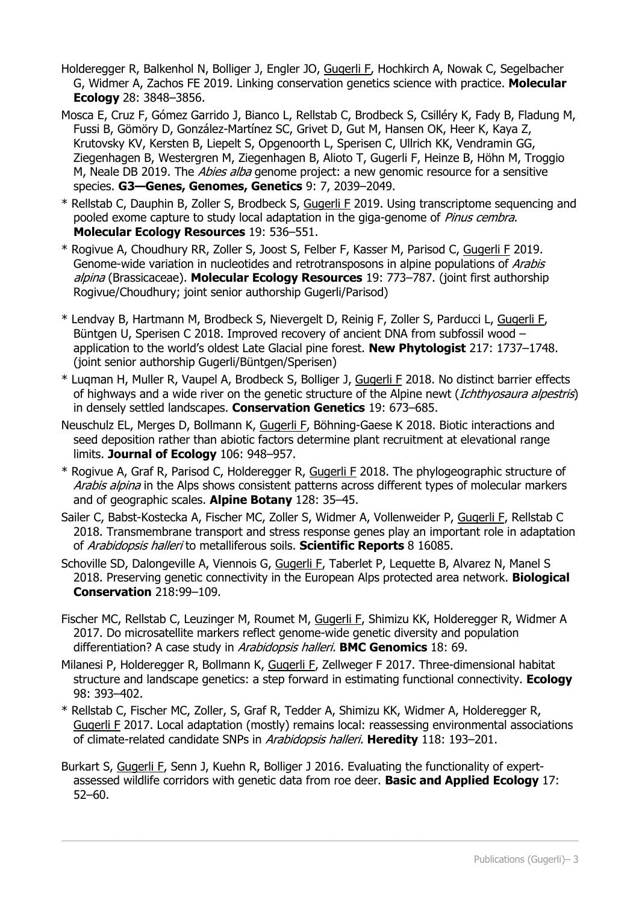- Holderegger R, Balkenhol N, Bolliger J, Engler JO, Gugerli F, Hochkirch A, Nowak C, Segelbacher G, Widmer A, Zachos FE 2019. Linking conservation genetics science with practice. **Molecular Ecology** 28: 3848–3856.
- Mosca E, Cruz F, Gómez Garrido J, Bianco L, Rellstab C, Brodbeck S, Csilléry K, Fady B, Fladung M, Fussi B, Gömöry D, González-Martínez SC, Grivet D, Gut M, Hansen OK, Heer K, Kaya Z, Krutovsky KV, Kersten B, Liepelt S, Opgenoorth L, Sperisen C, Ullrich KK, Vendramin GG, Ziegenhagen B, Westergren M, Ziegenhagen B, Alioto T, Gugerli F, Heinze B, Höhn M, Troggio M, Neale DB 2019. The Abies alba genome project: a new genomic resource for a sensitive species. **G3—Genes, Genomes, Genetics** 9: 7, 2039–2049.
- \* Rellstab C, Dauphin B, Zoller S, Brodbeck S, Gugerli F 2019. Using transcriptome sequencing and pooled exome capture to study local adaptation in the giga-genome of Pinus cembra. **Molecular Ecology Resources** 19: 536–551.
- \* Rogivue A, Choudhury RR, Zoller S, Joost S, Felber F, Kasser M, Parisod C, Gugerli F 2019. Genome-wide variation in nucleotides and retrotransposons in alpine populations of Arabis alpina (Brassicaceae). **Molecular Ecology Resources** 19: 773–787. (joint first authorship Rogivue/Choudhury; joint senior authorship Gugerli/Parisod)
- \* Lendvay B, Hartmann M, Brodbeck S, Nievergelt D, Reinig F, Zoller S, Parducci L, Gugerli F, Büntgen U, Sperisen C 2018. Improved recovery of ancient DNA from subfossil wood – application to the world's oldest Late Glacial pine forest. **New Phytologist** 217: 1737–1748. (joint senior authorship Gugerli/Büntgen/Sperisen)
- \* Luqman H, Muller R, Vaupel A, Brodbeck S, Bolliger J, Gugerli F 2018. No distinct barrier effects of highways and a wide river on the genetic structure of the Alpine newt (Ichthyosaura alpestris) in densely settled landscapes. **Conservation Genetics** 19: 673–685.
- Neuschulz EL, Merges D, Bollmann K, Gugerli F, Böhning-Gaese K 2018. Biotic interactions and seed deposition rather than abiotic factors determine plant recruitment at elevational range limits. **Journal of Ecology** 106: 948–957.
- \* Rogivue A, Graf R, Parisod C, Holderegger R, Gugerli F 2018. The phylogeographic structure of Arabis alpina in the Alps shows consistent patterns across different types of molecular markers and of geographic scales. **Alpine Botany** 128: 35–45.
- Sailer C, Babst-Kostecka A, Fischer MC, Zoller S, Widmer A, Vollenweider P, Gugerli F, Rellstab C 2018. Transmembrane transport and stress response genes play an important role in adaptation of Arabidopsis halleri to metalliferous soils. **Scientific Reports** 8 16085.
- Schoville SD, Dalongeville A, Viennois G, Gugerli F, Taberlet P, Lequette B, Alvarez N, Manel S 2018. Preserving genetic connectivity in the European Alps protected area network. **Biological Conservation** 218:99–109.
- Fischer MC, Rellstab C, Leuzinger M, Roumet M, Gugerli F, Shimizu KK, Holderegger R, Widmer A 2017. Do microsatellite markers reflect genome-wide genetic diversity and population differentiation? A case study in Arabidopsis halleri. **BMC Genomics** 18: 69.
- Milanesi P, Holderegger R, Bollmann K, Gugerli F, Zellweger F 2017. Three-dimensional habitat structure and landscape genetics: a step forward in estimating functional connectivity. **Ecology** 98: 393–402.
- \* Rellstab C, Fischer MC, Zoller, S, Graf R, Tedder A, Shimizu KK, Widmer A, Holderegger R, Gugerli F 2017. Local adaptation (mostly) remains local: reassessing environmental associations of climate-related candidate SNPs in Arabidopsis halleri. **Heredity** 118: 193–201.
- Burkart S, Gugerli F, Senn J, Kuehn R, Bolliger J 2016. Evaluating the functionality of expertassessed wildlife corridors with genetic data from roe deer. **Basic and Applied Ecology** 17: 52–60.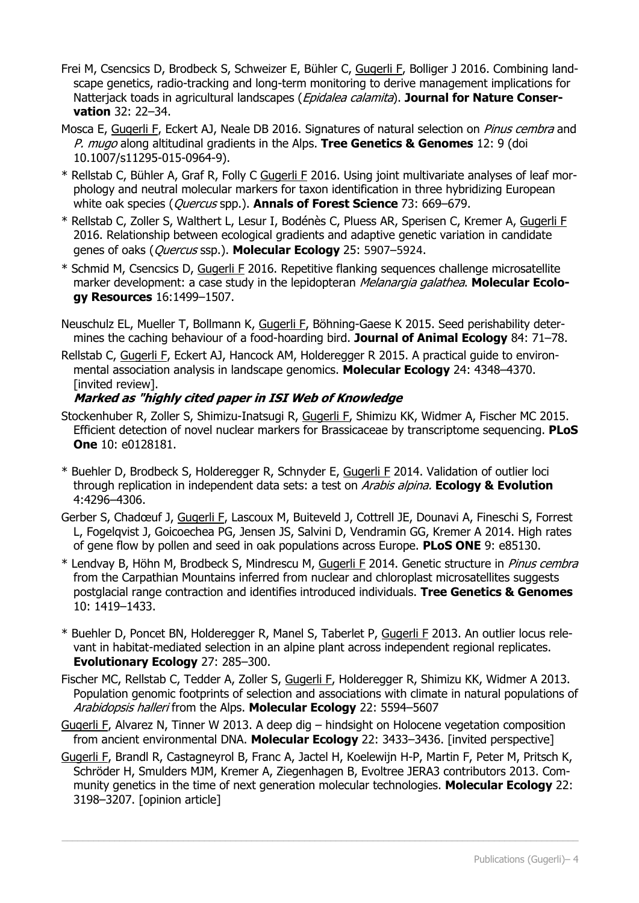- Frei M, Csencsics D, Brodbeck S, Schweizer E, Bühler C, Gugerli F, Bolliger J 2016. Combining landscape genetics, radio-tracking and long-term monitoring to derive management implications for Natterjack toads in agricultural landscapes (Epidalea calamita). **Journal for Nature Conservation** 32: 22–34.
- Mosca E, Gugerli F, Eckert AJ, Neale DB 2016. Signatures of natural selection on *Pinus cembra* and P. mugo along altitudinal gradients in the Alps. **Tree Genetics & Genomes** 12: 9 (doi 10.1007/s11295-015-0964-9).
- \* Rellstab C, Bühler A, Graf R, Folly C Gugerli F 2016. Using joint multivariate analyses of leaf morphology and neutral molecular markers for taxon identification in three hybridizing European white oak species (Quercus spp.). **Annals of Forest Science** 73: 669–679.
- \* Rellstab C, Zoller S, Walthert L, Lesur I, Bodénès C, Pluess AR, Sperisen C, Kremer A, Gugerli F 2016. Relationship between ecological gradients and adaptive genetic variation in candidate genes of oaks (Quercus ssp.). **Molecular Ecology** 25: 5907–5924.
- \* Schmid M, Csencsics D, Gugerli F 2016. Repetitive flanking sequences challenge microsatellite marker development: a case study in the lepidopteran Melanargia galathea. **Molecular Ecology Resources** 16:1499–1507.
- Neuschulz EL, Mueller T, Bollmann K, Gugerli F, Böhning-Gaese K 2015. Seed perishability determines the caching behaviour of a food-hoarding bird. **Journal of Animal Ecology** 84: 71–78.
- Rellstab C, Gugerli F, Eckert AJ, Hancock AM, Holderegger R 2015. A practical guide to environmental association analysis in landscape genomics. **Molecular Ecology** 24: 4348–4370. [invited review].

### **Marked as "highly cited paper in ISI Web of Knowledge**

- Stockenhuber R, Zoller S, Shimizu-Inatsugi R, Gugerli F, Shimizu KK, Widmer A, Fischer MC 2015. Efficient detection of novel nuclear markers for Brassicaceae by transcriptome sequencing. **PLoS One** 10: e0128181.
- \* Buehler D, Brodbeck S, Holderegger R, Schnyder E, Gugerli F 2014. Validation of outlier loci through replication in independent data sets: a test on Arabis alpina. **Ecology & Evolution** 4:4296–4306.
- Gerber S, Chadœuf J, Gugerli F, Lascoux M, Buiteveld J, Cottrell JE, Dounavi A, Fineschi S, Forrest L, Fogelqvist J, Goicoechea PG, Jensen JS, Salvini D, Vendramin GG, Kremer A 2014. High rates of gene flow by pollen and seed in oak populations across Europe. **PLoS ONE** 9: e85130.
- \* Lendvay B, Höhn M, Brodbeck S, Mindrescu M, Gugerli F 2014. Genetic structure in Pinus cembra from the Carpathian Mountains inferred from nuclear and chloroplast microsatellites suggests postglacial range contraction and identifies introduced individuals. **Tree Genetics & Genomes** 10: 1419–1433.
- \* Buehler D, Poncet BN, Holderegger R, Manel S, Taberlet P, Gugerli F 2013. An outlier locus relevant in habitat-mediated selection in an alpine plant across independent regional replicates. **Evolutionary Ecology** 27: 285–300.
- Fischer MC, Rellstab C, Tedder A, Zoller S, Gugerli F, Holderegger R, Shimizu KK, Widmer A 2013. Population genomic footprints of selection and associations with climate in natural populations of Arabidopsis halleri from the Alps. **Molecular Ecology** 22: 5594–5607
- Gugerli F, Alvarez N, Tinner W 2013. A deep dig hindsight on Holocene vegetation composition from ancient environmental DNA. **Molecular Ecology** 22: 3433–3436. [invited perspective]
- Gugerli F, Brandl R, Castagneyrol B, Franc A, Jactel H, Koelewijn H-P, Martin F, Peter M, Pritsch K, Schröder H, Smulders MJM, Kremer A, Ziegenhagen B, Evoltree JERA3 contributors 2013. Community genetics in the time of next generation molecular technologies. **Molecular Ecology** 22: 3198–3207. [opinion article]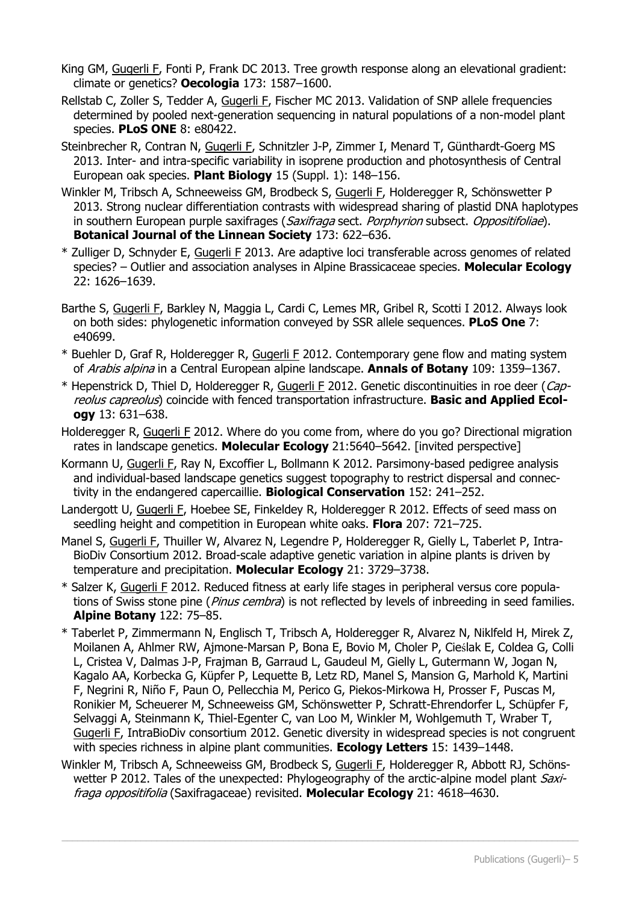- King GM, Gugerli F, Fonti P, Frank DC 2013. Tree growth response along an elevational gradient: climate or genetics? **Oecologia** 173: 1587–1600.
- Rellstab C, Zoller S, Tedder A, Gugerli F, Fischer MC 2013. Validation of SNP allele frequencies determined by pooled next-generation sequencing in natural populations of a non-model plant species. **PLoS ONE** 8: e80422.
- Steinbrecher R, Contran N, Gugerli F, Schnitzler J-P, Zimmer I, Menard T, Günthardt-Goerg MS 2013. Inter- and intra-specific variability in isoprene production and photosynthesis of Central European oak species. **Plant Biology** 15 (Suppl. 1): 148–156.
- Winkler M, Tribsch A, Schneeweiss GM, Brodbeck S, Gugerli F, Holderegger R, Schönswetter P 2013. Strong nuclear differentiation contrasts with widespread sharing of plastid DNA haplotypes in southern European purple saxifrages (Saxifraga sect. Porphyrion subsect. Oppositifoliae). **Botanical Journal of the Linnean Society** 173: 622–636.
- \* Zulliger D, Schnyder E, Gugerli F 2013. Are adaptive loci transferable across genomes of related species? – Outlier and association analyses in Alpine Brassicaceae species. **Molecular Ecology** 22: 1626–1639.
- Barthe S, Gugerli F, Barkley N, Maggia L, Cardi C, Lemes MR, Gribel R, Scotti I 2012. Always look on both sides: phylogenetic information conveyed by SSR allele sequences. **PLoS One** 7: e40699.
- \* Buehler D, Graf R, Holderegger R, Gugerli F 2012. Contemporary gene flow and mating system of Arabis alpina in a Central European alpine landscape. **Annals of Botany** 109: 1359–1367.
- \* Hepenstrick D, Thiel D, Holderegger R, Gugerli F 2012. Genetic discontinuities in roe deer (Capreolus capreolus) coincide with fenced transportation infrastructure. **Basic and Applied Ecology** 13: 631–638.
- Holderegger R, Gugerli F 2012. Where do you come from, where do you go? Directional migration rates in landscape genetics. **Molecular Ecology** 21:5640–5642. [invited perspective]
- Kormann U, Gugerli F, Ray N, Excoffier L, Bollmann K 2012. Parsimony-based pedigree analysis and individual-based landscape genetics suggest topography to restrict dispersal and connectivity in the endangered capercaillie. **Biological Conservation** 152: 241–252.
- Landergott U, Gugerli F, Hoebee SE, Finkeldey R, Holderegger R 2012. Effects of seed mass on seedling height and competition in European white oaks. **Flora** 207: 721–725.
- Manel S, Gugerli F, Thuiller W, Alvarez N, Legendre P, Holderegger R, Gielly L, Taberlet P, Intra-BioDiv Consortium 2012. Broad-scale adaptive genetic variation in alpine plants is driven by temperature and precipitation. **Molecular Ecology** 21: 3729–3738.
- \* Salzer K, Gugerli F 2012. Reduced fitness at early life stages in peripheral versus core populations of Swiss stone pine (*Pinus cembra*) is not reflected by levels of inbreeding in seed families. **Alpine Botany** 122: 75–85.
- \* Taberlet P, Zimmermann N, Englisch T, Tribsch A, Holderegger R, Alvarez N, Niklfeld H, Mirek Z, Moilanen A, Ahlmer RW, Ajmone-Marsan P, Bona E, Bovio M, Choler P, Cieślak E, Coldea G, Colli L, Cristea V, Dalmas J-P, Frajman B, Garraud L, Gaudeul M, Gielly L, Gutermann W, Jogan N, Kagalo AA, Korbecka G, Küpfer P, Lequette B, Letz RD, Manel S, Mansion G, Marhold K, Martini F, Negrini R, Niño F, Paun O, Pellecchia M, Perico G, Piekos-Mirkowa H, Prosser F, Puscas M, Ronikier M, Scheuerer M, Schneeweiss GM, Schönswetter P, Schratt-Ehrendorfer L, Schüpfer F, Selvaggi A, Steinmann K, Thiel-Egenter C, van Loo M, Winkler M, Wohlgemuth T, Wraber T, Gugerli F, IntraBioDiv consortium 2012. Genetic diversity in widespread species is not congruent with species richness in alpine plant communities. **Ecology Letters** 15: 1439–1448.
- Winkler M, Tribsch A, Schneeweiss GM, Brodbeck S, Gugerli F, Holderegger R, Abbott RJ, Schönswetter P 2012. Tales of the unexpected: Phylogeography of the arctic-alpine model plant Saxifraga oppositifolia (Saxifragaceae) revisited. **Molecular Ecology** 21: 4618–4630.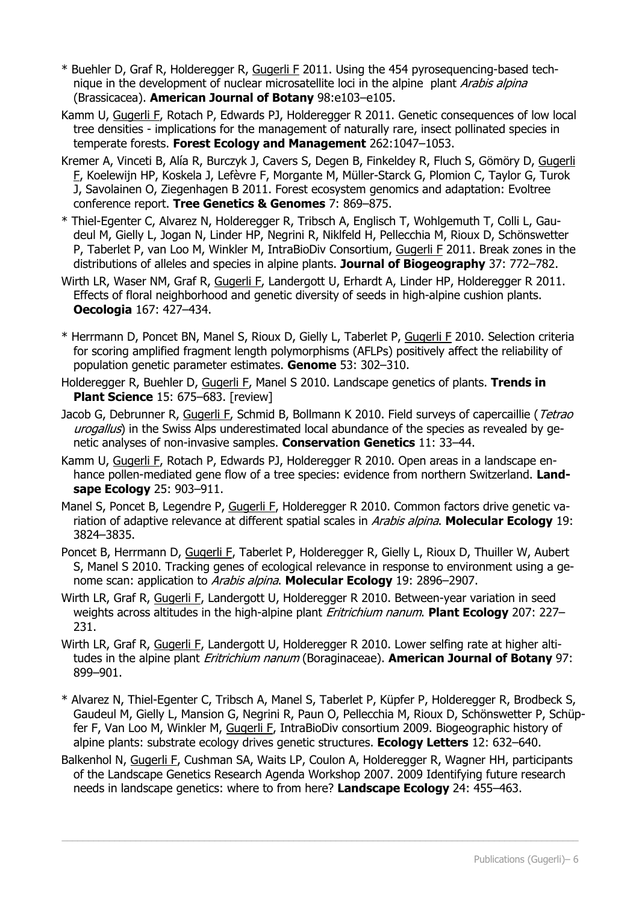- \* Buehler D, Graf R, Holderegger R, Gugerli F 2011. Using the 454 pyrosequencing-based technique in the development of nuclear microsatellite loci in the alpine plant Arabis alpina (Brassicacea). **American Journal of Botany** 98:e103–e105.
- Kamm U, Gugerli F, Rotach P, Edwards PJ, Holderegger R 2011. Genetic consequences of low local tree densities - implications for the management of naturally rare, insect pollinated species in temperate forests. **Forest Ecology and Management** 262:1047–1053.
- Kremer A, Vinceti B, Alía R, Burczyk J, Cavers S, Degen B, Finkeldey R, Fluch S, Gömöry D, Gugerli F, Koelewijn HP, Koskela J, Lefèvre F, Morgante M, Müller-Starck G, Plomion C, Taylor G, Turok J, Savolainen O, Ziegenhagen B 2011. Forest ecosystem genomics and adaptation: Evoltree conference report. **Tree Genetics & Genomes** 7: 869–875.
- \* Thiel-Egenter C, Alvarez N, Holderegger R, Tribsch A, Englisch T, Wohlgemuth T, Colli L, Gaudeul M, Gielly L, Jogan N, Linder HP, Negrini R, Niklfeld H, Pellecchia M, Rioux D, Schönswetter P, Taberlet P, van Loo M, Winkler M, IntraBioDiv Consortium, Gugerli F 2011. Break zones in the distributions of alleles and species in alpine plants. **Journal of Biogeography** 37: 772–782.
- Wirth LR, Waser NM, Graf R, Gugerli F, Landergott U, Erhardt A, Linder HP, Holderegger R 2011. Effects of floral neighborhood and genetic diversity of seeds in high-alpine cushion plants. **Oecologia** 167: 427–434.
- \* Herrmann D, Poncet BN, Manel S, Rioux D, Gielly L, Taberlet P, Gugerli F 2010. Selection criteria for scoring amplified fragment length polymorphisms (AFLPs) positively affect the reliability of population genetic parameter estimates. **Genome** 53: 302–310.
- Holderegger R, Buehler D, Gugerli F, Manel S 2010. Landscape genetics of plants. **Trends in Plant Science** 15: 675–683. [review]
- Jacob G, Debrunner R, Gugerli F, Schmid B, Bollmann K 2010. Field surveys of capercaillie (Tetrao urogallus) in the Swiss Alps underestimated local abundance of the species as revealed by genetic analyses of non-invasive samples. **Conservation Genetics** 11: 33–44.
- Kamm U, Gugerli F, Rotach P, Edwards PJ, Holderegger R 2010. Open areas in a landscape enhance pollen-mediated gene flow of a tree species: evidence from northern Switzerland. **Landsape Ecology** 25: 903–911.
- Manel S, Poncet B, Legendre P, Gugerli F, Holderegger R 2010. Common factors drive genetic variation of adaptive relevance at different spatial scales in Arabis alpina. **Molecular Ecology** 19: 3824–3835.
- Poncet B, Herrmann D, Gugerli F, Taberlet P, Holderegger R, Gielly L, Rioux D, Thuiller W, Aubert S, Manel S 2010. Tracking genes of ecological relevance in response to environment using a genome scan: application to Arabis alpina. **Molecular Ecology** 19: 2896–2907.
- Wirth LR, Graf R, Gugerli F, Landergott U, Holderegger R 2010. Between-year variation in seed weights across altitudes in the high-alpine plant Eritrichium nanum. **Plant Ecology** 207: 227– 231.
- Wirth LR, Graf R, Gugerli F, Landergott U, Holderegger R 2010. Lower selfing rate at higher altitudes in the alpine plant Eritrichium nanum (Boraginaceae). **American Journal of Botany** 97: 899–901.
- \* Alvarez N, Thiel-Egenter C, Tribsch A, Manel S, Taberlet P, Küpfer P, Holderegger R, Brodbeck S, Gaudeul M, Gielly L, Mansion G, Negrini R, Paun O, Pellecchia M, Rioux D, Schönswetter P, Schüpfer F, Van Loo M, Winkler M, Gugerli F, IntraBioDiv consortium 2009. Biogeographic history of alpine plants: substrate ecology drives genetic structures. **Ecology Letters** 12: 632–640.
- Balkenhol N, Gugerli F, Cushman SA, Waits LP, Coulon A, Holderegger R, Wagner HH, participants of the Landscape Genetics Research Agenda Workshop 2007. 2009 Identifying future research needs in landscape genetics: where to from here? **Landscape Ecology** 24: 455–463.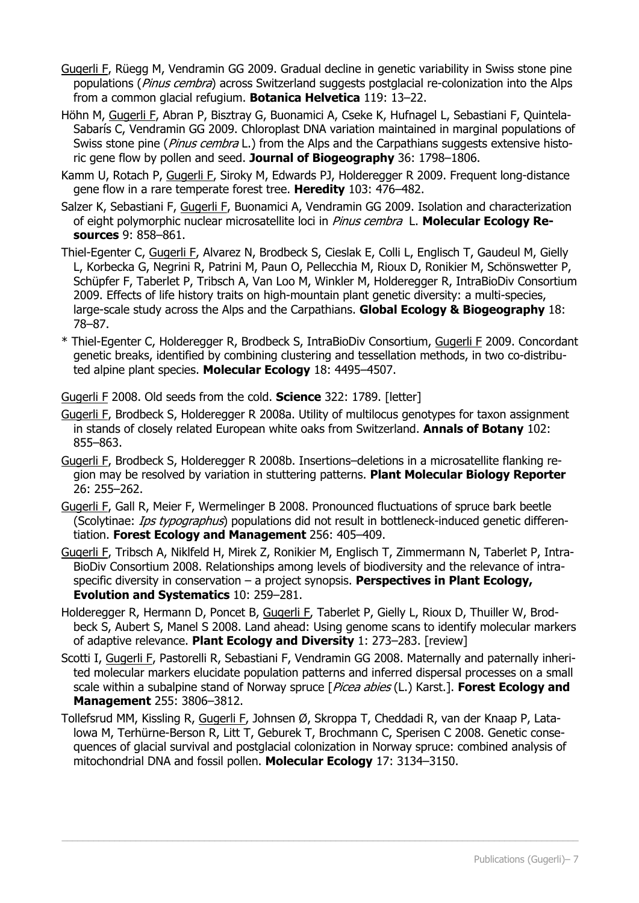- Gugerli F, Rüegg M, Vendramin GG 2009. Gradual decline in genetic variability in Swiss stone pine populations (Pinus cembra) across Switzerland suggests postglacial re-colonization into the Alps from a common glacial refugium. **Botanica Helvetica** 119: 13–22.
- Höhn M, Gugerli F, Abran P, Bisztray G, Buonamici A, Cseke K, Hufnagel L, Sebastiani F, Quintela-Sabarís C, Vendramin GG 2009. Chloroplast DNA variation maintained in marginal populations of Swiss stone pine (Pinus cembra L.) from the Alps and the Carpathians suggests extensive historic gene flow by pollen and seed. **Journal of Biogeography** 36: 1798–1806.
- Kamm U, Rotach P, Gugerli F, Siroky M, Edwards PJ, Holderegger R 2009. Frequent long-distance gene flow in a rare temperate forest tree. **Heredity** 103: 476–482.
- Salzer K, Sebastiani F, Gugerli F, Buonamici A, Vendramin GG 2009. Isolation and characterization of eight polymorphic nuclear microsatellite loci in Pinus cembra L. **Molecular Ecology Resources** 9: 858–861.
- Thiel-Egenter C, Gugerli F, Alvarez N, Brodbeck S, Cieslak E, Colli L, Englisch T, Gaudeul M, Gielly L, Korbecka G, Negrini R, Patrini M, Paun O, Pellecchia M, Rioux D, Ronikier M, Schönswetter P, Schüpfer F, Taberlet P, Tribsch A, Van Loo M, Winkler M, Holderegger R, IntraBioDiv Consortium 2009. Effects of life history traits on high-mountain plant genetic diversity: a multi-species, large-scale study across the Alps and the Carpathians. **Global Ecology & Biogeography** 18: 78–87.
- \* Thiel-Egenter C, Holderegger R, Brodbeck S, IntraBioDiv Consortium, Gugerli F 2009. Concordant genetic breaks, identified by combining clustering and tessellation methods, in two co-distributed alpine plant species. **Molecular Ecology** 18: 4495–4507.

Gugerli F 2008. Old seeds from the cold. **Science** 322: 1789. [letter]

- Gugerli F, Brodbeck S, Holderegger R 2008a. Utility of multilocus genotypes for taxon assignment in stands of closely related European white oaks from Switzerland. **Annals of Botany** 102: 855–863.
- Gugerli F, Brodbeck S, Holderegger R 2008b. Insertions–deletions in a microsatellite flanking region may be resolved by variation in stuttering patterns. **Plant Molecular Biology Reporter** 26: 255–262.
- Gugerli F, Gall R, Meier F, Wermelinger B 2008. Pronounced fluctuations of spruce bark beetle (Scolytinae: *Ips typographus*) populations did not result in bottleneck-induced genetic differentiation. **Forest Ecology and Management** 256: 405–409.
- Gugerli F, Tribsch A, Niklfeld H, Mirek Z, Ronikier M, Englisch T, Zimmermann N, Taberlet P, Intra-BioDiv Consortium 2008. Relationships among levels of biodiversity and the relevance of intraspecific diversity in conservation – a project synopsis. **Perspectives in Plant Ecology, Evolution and Systematics** 10: 259–281.
- Holderegger R, Hermann D, Poncet B, Gugerli F, Taberlet P, Gielly L, Rioux D, Thuiller W, Brodbeck S, Aubert S, Manel S 2008. Land ahead: Using genome scans to identify molecular markers of adaptive relevance. **Plant Ecology and Diversity** 1: 273–283. [review]
- Scotti I, Gugerli F, Pastorelli R, Sebastiani F, Vendramin GG 2008. Maternally and paternally inherited molecular markers elucidate population patterns and inferred dispersal processes on a small scale within a subalpine stand of Norway spruce [Picea abies (L.) Karst.]. **Forest Ecology and Management** 255: 3806–3812.
- Tollefsrud MM, Kissling R, Gugerli F, Johnsen Ø, Skroppa T, Cheddadi R, van der Knaap P, Latalowa M, Terhürne-Berson R, Litt T, Geburek T, Brochmann C, Sperisen C 2008. Genetic consequences of glacial survival and postglacial colonization in Norway spruce: combined analysis of mitochondrial DNA and fossil pollen. **Molecular Ecology** 17: 3134–3150.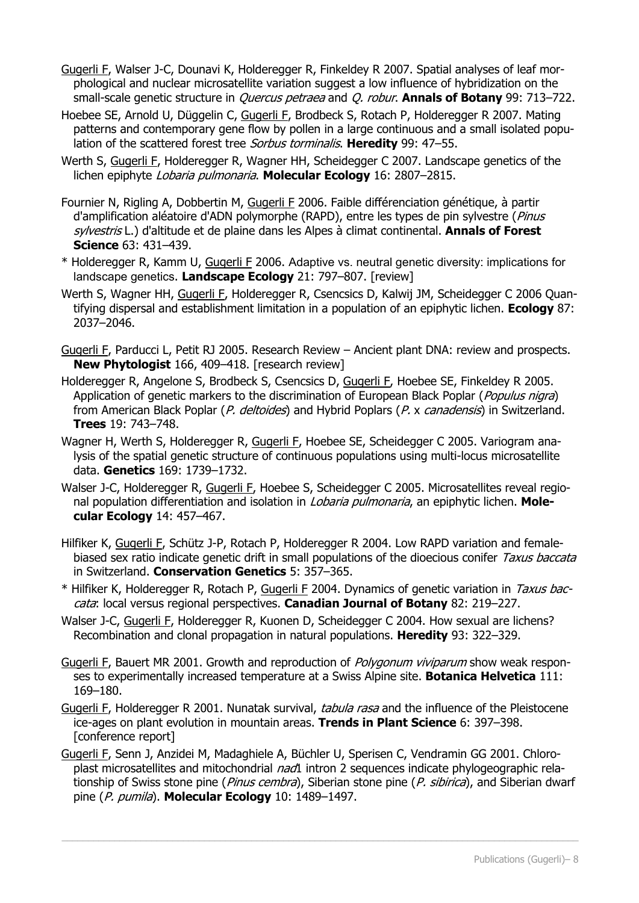- Gugerli F, Walser J-C, Dounavi K, Holderegger R, Finkeldey R 2007. Spatial analyses of leaf morphological and nuclear microsatellite variation suggest a low influence of hybridization on the small-scale genetic structure in Quercus petraea and Q. robur. **Annals of Botany** 99: 713–722.
- Hoebee SE, Arnold U, Düggelin C, Gugerli F, Brodbeck S, Rotach P, Holderegger R 2007. Mating patterns and contemporary gene flow by pollen in a large continuous and a small isolated population of the scattered forest tree Sorbus torminalis. **Heredity** 99: 47–55.
- Werth S, Gugerli F, Holderegger R, Wagner HH, Scheidegger C 2007. Landscape genetics of the lichen epiphyte Lobaria pulmonaria. **Molecular Ecology** 16: 2807–2815.
- Fournier N, Rigling A, Dobbertin M, Gugerli F 2006. Faible différenciation génétique, à partir d'amplification aléatoire d'ADN polymorphe (RAPD), entre les types de pin sylvestre (Pinus sylvestris L.) d'altitude et de plaine dans les Alpes à climat continental. **Annals of Forest Science** 63: 431–439.
- \* Holderegger R, Kamm U, Gugerli F 2006. Adaptive vs. neutral genetic diversity: implications for landscape genetics. **Landscape Ecology** 21: 797–807. [review]
- Werth S, Wagner HH, Gugerli F, Holderegger R, Csencsics D, Kalwij JM, Scheidegger C 2006 Quantifying dispersal and establishment limitation in a population of an epiphytic lichen. **Ecology** 87: 2037–2046.
- Gugerli F, Parducci L, Petit RJ 2005. Research Review Ancient plant DNA: review and prospects. **New Phytologist** 166, 409–418. [research review]
- Holderegger R, Angelone S, Brodbeck S, Csencsics D, Gugerli F, Hoebee SE, Finkeldey R 2005. Application of genetic markers to the discrimination of European Black Poplar (*Populus nigra*) from American Black Poplar (P. deltoides) and Hybrid Poplars (P. x canadensis) in Switzerland. **Trees** 19: 743–748.
- Wagner H, Werth S, Holderegger R, Gugerli F, Hoebee SE, Scheidegger C 2005. Variogram analysis of the spatial genetic structure of continuous populations using multi-locus microsatellite data. **Genetics** 169: 1739–1732.
- Walser J-C, Holderegger R, Gugerli F, Hoebee S, Scheidegger C 2005. Microsatellites reveal regional population differentiation and isolation in Lobaria pulmonaria, an epiphytic lichen. **Molecular Ecology** 14: 457–467.
- Hilfiker K, Gugerli F, Schütz J-P, Rotach P, Holderegger R 2004. Low RAPD variation and femalebiased sex ratio indicate genetic drift in small populations of the dioecious conifer Taxus baccata in Switzerland. **Conservation Genetics** 5: 357–365.
- \* Hilfiker K, Holderegger R, Rotach P, Gugerli F 2004. Dynamics of genetic variation in Taxus baccata: local versus regional perspectives. **Canadian Journal of Botany** 82: 219–227.
- Walser J-C, Gugerli F, Holderegger R, Kuonen D, Scheidegger C 2004. How sexual are lichens? Recombination and clonal propagation in natural populations. **Heredity** 93: 322–329.
- Gugerli F, Bauert MR 2001. Growth and reproduction of *Polygonum viviparum* show weak responses to experimentally increased temperature at a Swiss Alpine site. **Botanica Helvetica** 111: 169–180.
- Gugerli F, Holderegger R 2001. Nunatak survival, tabula rasa and the influence of the Pleistocene ice-ages on plant evolution in mountain areas. **Trends in Plant Science** 6: 397–398. [conference report]
- Gugerli F, Senn J, Anzidei M, Madaghiele A, Büchler U, Sperisen C, Vendramin GG 2001. Chloroplast microsatellites and mitochondrial nad1 intron 2 sequences indicate phylogeographic relationship of Swiss stone pine (*Pinus cembra*), Siberian stone pine (*P. sibirica*), and Siberian dwarf pine (P. pumila). **Molecular Ecology** 10: 1489–1497.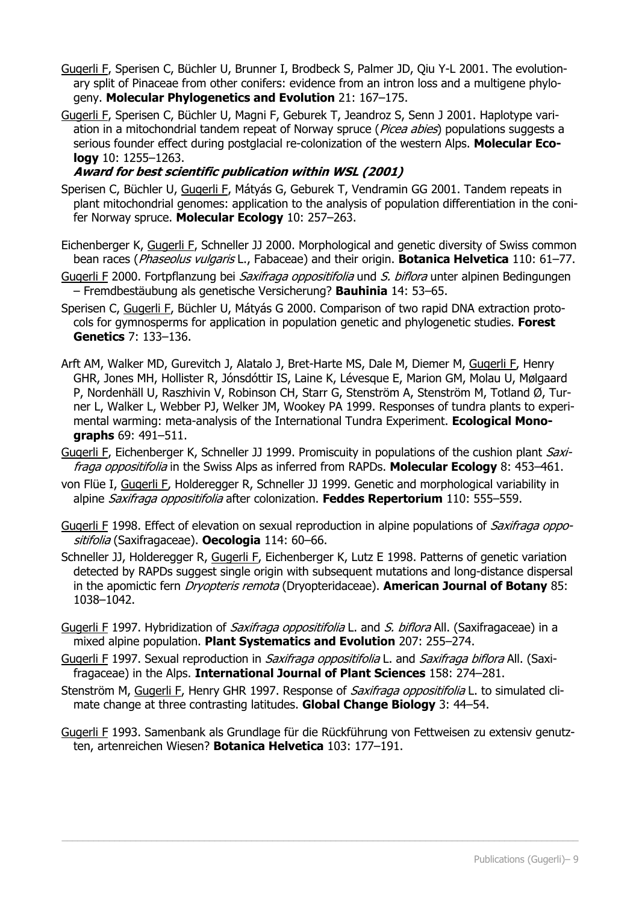- Gugerli F, Sperisen C, Büchler U, Brunner I, Brodbeck S, Palmer JD, Qiu Y-L 2001. The evolutionary split of Pinaceae from other conifers: evidence from an intron loss and a multigene phylogeny. **Molecular Phylogenetics and Evolution** 21: 167–175.
- Gugerli F, Sperisen C, Büchler U, Magni F, Geburek T, Jeandroz S, Senn J 2001. Haplotype variation in a mitochondrial tandem repeat of Norway spruce (Picea abies) populations suggests a serious founder effect during postglacial re-colonization of the western Alps. **Molecular Ecology** 10: 1255–1263.

#### **Award for best scientific publication within WSL (2001)**

- Sperisen C, Büchler U, Gugerli F, Mátyás G, Geburek T, Vendramin GG 2001. Tandem repeats in plant mitochondrial genomes: application to the analysis of population differentiation in the conifer Norway spruce. **Molecular Ecology** 10: 257–263.
- Eichenberger K, Gugerli F, Schneller JJ 2000. Morphological and genetic diversity of Swiss common bean races (Phaseolus vulgaris L., Fabaceae) and their origin. **Botanica Helvetica** 110: 61–77.
- Gugerli F 2000. Fortpflanzung bei *Saxifraga oppositifolia* und S. biflora unter alpinen Bedingungen – Fremdbestäubung als genetische Versicherung? **Bauhinia** 14: 53–65.
- Sperisen C, Gugerli F, Büchler U, Mátyás G 2000. Comparison of two rapid DNA extraction protocols for gymnosperms for application in population genetic and phylogenetic studies. **Forest Genetics** 7: 133–136.
- Arft AM, Walker MD, Gurevitch J, Alatalo J, Bret-Harte MS, Dale M, Diemer M, Gugerli F, Henry GHR, Jones MH, Hollister R, Jónsdóttir IS, Laine K, Lévesque E, Marion GM, Molau U, Mølgaard P, Nordenhäll U, Raszhivin V, Robinson CH, Starr G, Stenström A, Stenström M, Totland Ø, Turner L, Walker L, Webber PJ, Welker JM, Wookey PA 1999. Responses of tundra plants to experimental warming: meta-analysis of the International Tundra Experiment. **Ecological Monographs** 69: 491–511.
- Gugerli F, Eichenberger K, Schneller JJ 1999. Promiscuity in populations of the cushion plant Saxifraga oppositifolia in the Swiss Alps as inferred from RAPDs. **Molecular Ecology** 8: 453–461.
- von Flüe I, Gugerli F, Holderegger R, Schneller JJ 1999. Genetic and morphological variability in alpine Saxifraga oppositifolia after colonization. **Feddes Repertorium** 110: 555–559.
- Gugerli F 1998. Effect of elevation on sexual reproduction in alpine populations of Saxifraga oppositifolia (Saxifragaceae). **Oecologia** 114: 60–66.
- Schneller JJ, Holderegger R, Gugerli F, Eichenberger K, Lutz E 1998. Patterns of genetic variation detected by RAPDs suggest single origin with subsequent mutations and long-distance dispersal in the apomictic fern Dryopteris remota (Dryopteridaceae). **American Journal of Botany** 85: 1038–1042.
- Gugerli F 1997. Hybridization of *Saxifraga oppositifolia* L. and S. biflora All. (Saxifragaceae) in a mixed alpine population. **Plant Systematics and Evolution** 207: 255–274.
- Gugerli F 1997. Sexual reproduction in *Saxifraga oppositifolia* L. and Saxifraga biflora All. (Saxifragaceae) in the Alps. **International Journal of Plant Sciences** 158: 274–281.
- Stenström M, Gugerli F, Henry GHR 1997. Response of *Saxifraga oppositifolia* L. to simulated climate change at three contrasting latitudes. **Global Change Biology** 3: 44–54.
- Gugerli F 1993. Samenbank als Grundlage für die Rückführung von Fettweisen zu extensiv genutzten, artenreichen Wiesen? **Botanica Helvetica** 103: 177–191.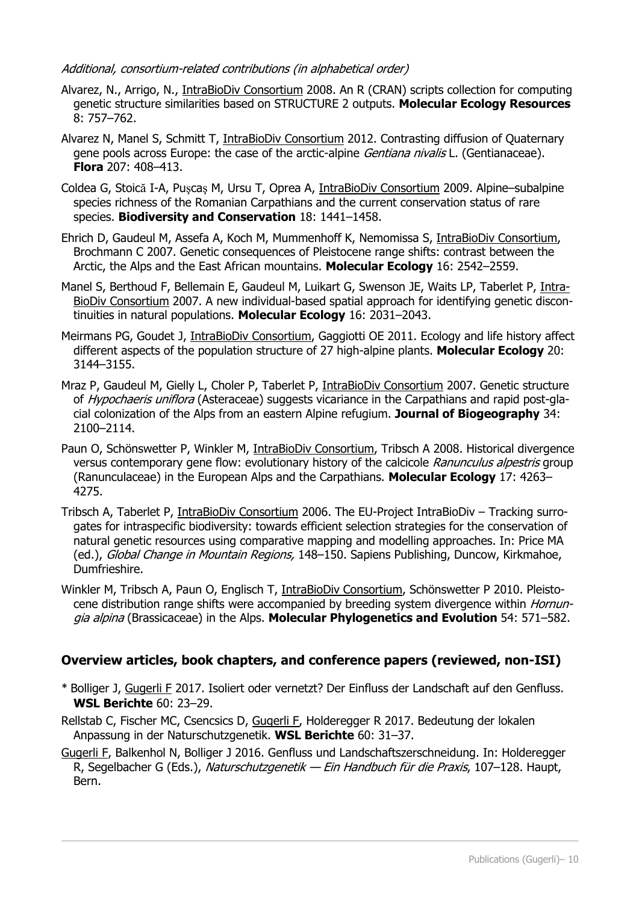#### Additional, consortium-related contributions (in alphabetical order)

- Alvarez, N., Arrigo, N., IntraBioDiv Consortium 2008. An R (CRAN) scripts collection for computing genetic structure similarities based on STRUCTURE 2 outputs. **Molecular Ecology Resources** 8: 757–762.
- Alvarez N, Manel S, Schmitt T, IntraBioDiv Consortium 2012. Contrasting diffusion of Quaternary gene pools across Europe: the case of the arctic-alpine *Gentiana nivalis* L. (Gentianaceae). **Flora** 207: 408–413.
- Coldea G, Stoică I-A, Puşcaş M, Ursu T, Oprea A, IntraBioDiv Consortium 2009. Alpine–subalpine species richness of the Romanian Carpathians and the current conservation status of rare species. **Biodiversity and Conservation** 18: 1441–1458.
- Ehrich D, Gaudeul M, Assefa A, Koch M, Mummenhoff K, Nemomissa S, IntraBioDiv Consortium, Brochmann C 2007. Genetic consequences of Pleistocene range shifts: contrast between the Arctic, the Alps and the East African mountains. **Molecular Ecology** 16: 2542–2559.
- Manel S, Berthoud F, Bellemain E, Gaudeul M, Luikart G, Swenson JE, Waits LP, Taberlet P, Intra-BioDiv Consortium 2007. A new individual-based spatial approach for identifying genetic discontinuities in natural populations. **Molecular Ecology** 16: 2031–2043.
- Meirmans PG, Goudet J, IntraBioDiv Consortium, Gaggiotti OE 2011. Ecology and life history affect different aspects of the population structure of 27 high-alpine plants. **Molecular Ecology** 20: 3144–3155.
- Mraz P, Gaudeul M, Gielly L, Choler P, Taberlet P, IntraBioDiv Consortium 2007. Genetic structure of *Hypochaeris uniflora* (Asteraceae) suggests vicariance in the Carpathians and rapid post-glacial colonization of the Alps from an eastern Alpine refugium. **Journal of Biogeography** 34: 2100–2114.
- Paun O, Schönswetter P, Winkler M, IntraBioDiv Consortium, Tribsch A 2008. Historical divergence versus contemporary gene flow: evolutionary history of the calcicole Ranunculus alpestris group (Ranunculaceae) in the European Alps and the Carpathians. **Molecular Ecology** 17: 4263– 4275.
- Tribsch A, Taberlet P, IntraBioDiv Consortium 2006. The EU-Project IntraBioDiv Tracking surrogates for intraspecific biodiversity: towards efficient selection strategies for the conservation of natural genetic resources using comparative mapping and modelling approaches. In: Price MA (ed.), Global Change in Mountain Regions, 148-150. Sapiens Publishing, Duncow, Kirkmahoe, Dumfrieshire.
- Winkler M, Tribsch A, Paun O, Englisch T, IntraBioDiv Consortium, Schönswetter P 2010. Pleistocene distribution range shifts were accompanied by breeding system divergence within *Hornun*gia alpina (Brassicaceae) in the Alps. **Molecular Phylogenetics and Evolution** 54: 571–582.

#### **Overview articles, book chapters, and conference papers (reviewed, non-ISI)**

- \* Bolliger J, Gugerli F 2017. Isoliert oder vernetzt? Der Einfluss der Landschaft auf den Genfluss. **WSL Berichte** 60: 23–29.
- Rellstab C, Fischer MC, Csencsics D, Gugerli F, Holderegger R 2017. Bedeutung der lokalen Anpassung in der Naturschutzgenetik. **WSL Berichte** 60: 31–37.
- Gugerli F, Balkenhol N, Bolliger J 2016. Genfluss und Landschaftszerschneidung. In: Holderegger R, Segelbacher G (Eds.), Naturschutzgenetik — Ein Handbuch für die Praxis, 107–128. Haupt, Bern.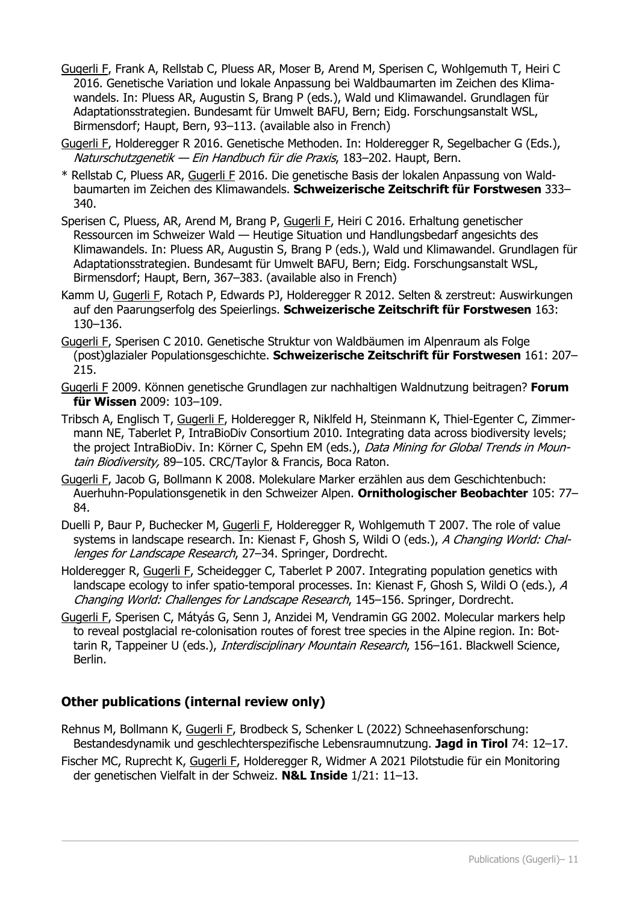Gugerli F, Frank A, Rellstab C, Pluess AR, Moser B, Arend M, Sperisen C, Wohlgemuth T, Heiri C 2016. Genetische Variation und lokale Anpassung bei Waldbaumarten im Zeichen des Klimawandels. In: Pluess AR, Augustin S, Brang P (eds.), Wald und Klimawandel. Grundlagen für Adaptationsstrategien. Bundesamt für Umwelt BAFU, Bern; Eidg. Forschungsanstalt WSL, Birmensdorf; Haupt, Bern, 93–113. (available also in French)

Gugerli F, Holderegger R 2016. Genetische Methoden. In: Holderegger R, Segelbacher G (Eds.), Naturschutzgenetik - Ein Handbuch für die Praxis, 183-202. Haupt, Bern.

- \* Rellstab C, Pluess AR, Gugerli F 2016. Die genetische Basis der lokalen Anpassung von Waldbaumarten im Zeichen des Klimawandels. **Schweizerische Zeitschrift für Forstwesen** 333– 340.
- Sperisen C, Pluess, AR, Arend M, Brang P, Gugerli F, Heiri C 2016. Erhaltung genetischer Ressourcen im Schweizer Wald — Heutige Situation und Handlungsbedarf angesichts des Klimawandels. In: Pluess AR, Augustin S, Brang P (eds.), Wald und Klimawandel. Grundlagen für Adaptationsstrategien. Bundesamt für Umwelt BAFU, Bern; Eidg. Forschungsanstalt WSL, Birmensdorf; Haupt, Bern, 367–383. (available also in French)
- Kamm U, Gugerli F, Rotach P, Edwards PJ, Holderegger R 2012. Selten & zerstreut: Auswirkungen auf den Paarungserfolg des Speierlings. **Schweizerische Zeitschrift für Forstwesen** 163: 130–136.
- Gugerli F, Sperisen C 2010. Genetische Struktur von Waldbäumen im Alpenraum als Folge (post)glazialer Populationsgeschichte. **Schweizerische Zeitschrift für Forstwesen** 161: 207– 215.
- Gugerli F 2009. Können genetische Grundlagen zur nachhaltigen Waldnutzung beitragen? **Forum für Wissen** 2009: 103–109.
- Tribsch A, Englisch T, Gugerli F, Holderegger R, Niklfeld H, Steinmann K, Thiel-Egenter C, Zimmermann NE, Taberlet P, IntraBioDiv Consortium 2010. Integrating data across biodiversity levels; the project IntraBioDiv. In: Körner C, Spehn EM (eds.), Data Mining for Global Trends in Mountain Biodiversity, 89-105. CRC/Taylor & Francis, Boca Raton.
- Gugerli F, Jacob G, Bollmann K 2008. Molekulare Marker erzählen aus dem Geschichtenbuch: Auerhuhn-Populationsgenetik in den Schweizer Alpen. **Ornithologischer Beobachter** 105: 77– 84.
- Duelli P, Baur P, Buchecker M, Gugerli F, Holderegger R, Wohlgemuth T 2007. The role of value systems in landscape research. In: Kienast F, Ghosh S, Wildi O (eds.), A Changing World: Challenges for Landscape Research, 27-34. Springer, Dordrecht.
- Holderegger R, Gugerli F, Scheidegger C, Taberlet P 2007. Integrating population genetics with landscape ecology to infer spatio-temporal processes. In: Kienast F, Ghosh S, Wildi O (eds.), A Changing World: Challenges for Landscape Research, 145–156. Springer, Dordrecht.
- Gugerli F, Sperisen C, Mátyás G, Senn J, Anzidei M, Vendramin GG 2002. Molecular markers help to reveal postglacial re-colonisation routes of forest tree species in the Alpine region. In: Bottarin R, Tappeiner U (eds.), Interdisciplinary Mountain Research, 156-161. Blackwell Science, Berlin.

## **Other publications (internal review only)**

- Rehnus M, Bollmann K, Gugerli F, Brodbeck S, Schenker L (2022) Schneehasenforschung: Bestandesdynamik und geschlechterspezifische Lebensraumnutzung. **Jagd in Tirol** 74: 12–17.
- Fischer MC, Ruprecht K, Gugerli F, Holderegger R, Widmer A 2021 Pilotstudie für ein Monitoring der genetischen Vielfalt in der Schweiz. **N&L Inside** 1/21: 11–13.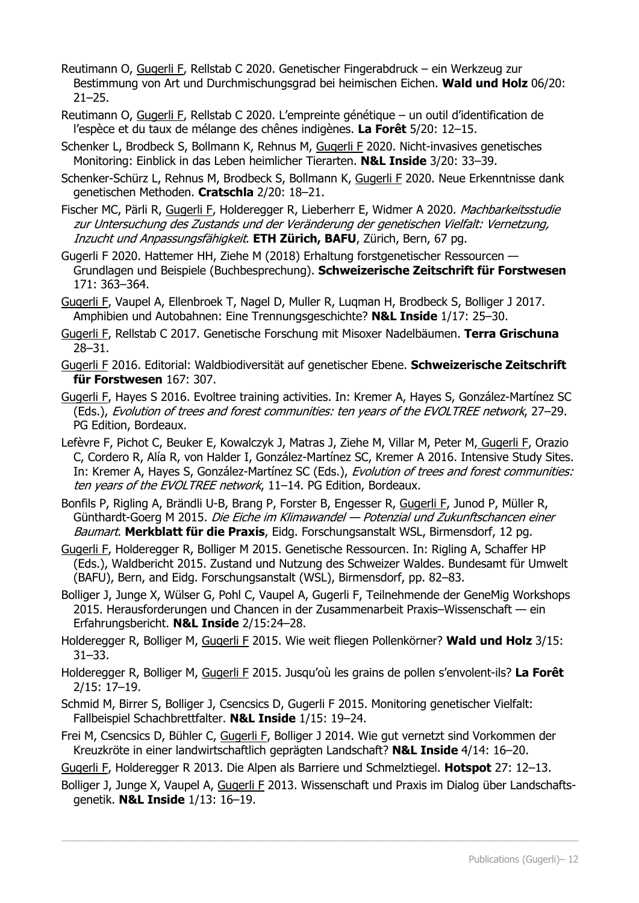- Reutimann O, Gugerli F, Rellstab C 2020. Genetischer Fingerabdruck ein Werkzeug zur Bestimmung von Art und Durchmischungsgrad bei heimischen Eichen. **Wald und Holz** 06/20:  $21 - 25$ .
- Reutimann O, Gugerli F, Rellstab C 2020. L'empreinte génétique un outil d'identification de l'espèce et du taux de mélange des chênes indigènes. **La Forêt** 5/20: 12–15.
- Schenker L, Brodbeck S, Bollmann K, Rehnus M, Gugerli F 2020. Nicht-invasives genetisches Monitoring: Einblick in das Leben heimlicher Tierarten. **N&L Inside** 3/20: 33–39.
- Schenker-Schürz L, Rehnus M, Brodbeck S, Bollmann K, Gugerli F 2020. Neue Erkenntnisse dank genetischen Methoden. **Cratschla** 2/20: 18–21.
- Fischer MC, Pärli R, Gugerli F, Holderegger R, Lieberherr E, Widmer A 2020. Machbarkeitsstudie zur Untersuchung des Zustands und der Veränderung der genetischen Vielfalt: Vernetzung, Inzucht und Anpassungsfähigkeit. **ETH Zürich, BAFU**, Zürich, Bern, 67 pg.
- Gugerli F 2020. Hattemer HH, Ziehe M (2018) Erhaltung forstgenetischer Ressourcen Grundlagen und Beispiele (Buchbesprechung). **Schweizerische Zeitschrift für Forstwesen**  171: 363–364.
- Gugerli F, Vaupel A, Ellenbroek T, Nagel D, Muller R, Luqman H, Brodbeck S, Bolliger J 2017. Amphibien und Autobahnen: Eine Trennungsgeschichte? **N&L Inside** 1/17: 25–30.
- Gugerli F, Rellstab C 2017. Genetische Forschung mit Misoxer Nadelbäumen. **Terra Grischuna** 28–31.
- Gugerli F 2016. Editorial: Waldbiodiversität auf genetischer Ebene. **Schweizerische Zeitschrift für Forstwesen** 167: 307.
- Gugerli F, Hayes S 2016. Evoltree training activities. In: Kremer A, Hayes S, González-Martínez SC (Eds.), Evolution of trees and forest communities: ten years of the EVOLTREE network, 27–29. PG Edition, Bordeaux.
- Lefèvre F, Pichot C, Beuker E, Kowalczyk J, Matras J, Ziehe M, Villar M, Peter M, Gugerli F, Orazio C, Cordero R, Alía R, von Halder I, González-Martínez SC, Kremer A 2016. Intensive Study Sites. In: Kremer A, Hayes S, González-Martínez SC (Eds.), Evolution of trees and forest communities: ten years of the EVOLTREE network, 11-14. PG Edition, Bordeaux.
- Bonfils P, Rigling A, Brändli U-B, Brang P, Forster B, Engesser R, Gugerli F, Junod P, Müller R, Günthardt-Goerg M 2015. Die Eiche im Klimawandel — Potenzial und Zukunftschancen einer Baumart. **Merkblatt für die Praxis**, Eidg. Forschungsanstalt WSL, Birmensdorf, 12 pg.
- Gugerli F, Holderegger R, Bolliger M 2015. Genetische Ressourcen. In: Rigling A, Schaffer HP (Eds.), Waldbericht 2015. Zustand und Nutzung des Schweizer Waldes. Bundesamt für Umwelt (BAFU), Bern, and Eidg. Forschungsanstalt (WSL), Birmensdorf, pp. 82–83.
- Bolliger J, Junge X, Wülser G, Pohl C, Vaupel A, Gugerli F, Teilnehmende der GeneMig Workshops 2015. Herausforderungen und Chancen in der Zusammenarbeit Praxis–Wissenschaft — ein Erfahrungsbericht. **N&L Inside** 2/15:24–28.
- Holderegger R, Bolliger M, Gugerli F 2015. Wie weit fliegen Pollenkörner? **Wald und Holz** 3/15: 31–33.
- Holderegger R, Bolliger M, Gugerli F 2015. Jusqu'où les grains de pollen s'envolent-ils? **La Forêt**  2/15: 17–19.
- Schmid M, Birrer S, Bolliger J, Csencsics D, Gugerli F 2015. Monitoring genetischer Vielfalt: Fallbeispiel Schachbrettfalter. **N&L Inside** 1/15: 19–24.
- Frei M, Csencsics D, Bühler C, Gugerli F, Bolliger J 2014. Wie gut vernetzt sind Vorkommen der Kreuzkröte in einer landwirtschaftlich geprägten Landschaft? **N&L Inside** 4/14: 16–20.
- Gugerli F, Holderegger R 2013. Die Alpen als Barriere und Schmelztiegel. **Hotspot** 27: 12–13.
- Bolliger J, Junge X, Vaupel A, Gugerli F 2013. Wissenschaft und Praxis im Dialog über Landschaftsgenetik. **N&L Inside** 1/13: 16–19.